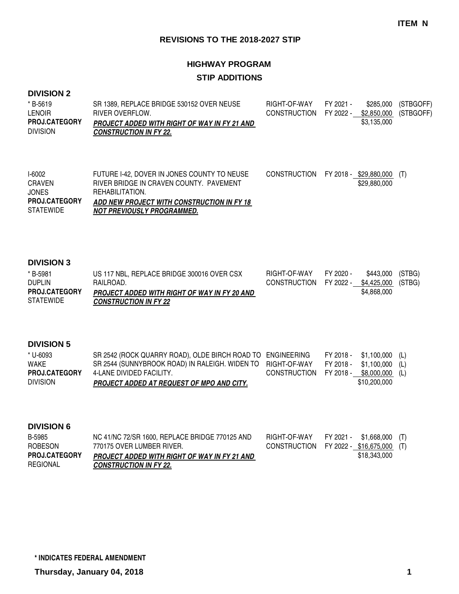# **HIGHWAY PROGRAM STIP ADDITIONS**

#### **DIVISION 2**

| * B-5619<br><b>LENOIR</b>               | SR 1389. REPLACE BRIDGE 530152 OVER NEUSE<br>RIVER OVERFLOW.                         | RIGHT-OF-WAY<br>CONSTRUCTION FY 2022 - \$2,850,000 (STBGOFF) | FY 2021 - |             | \$285,000 (STBGOFF) |
|-----------------------------------------|--------------------------------------------------------------------------------------|--------------------------------------------------------------|-----------|-------------|---------------------|
| <b>PROJ.CATEGORY</b><br><b>DIVISION</b> | <b>PROJECT ADDED WITH RIGHT OF WAY IN FY 21 AND</b><br><b>CONSTRUCTION IN FY 22.</b> |                                                              |           | \$3,135,000 |                     |

| I-6002           | FUTURE I-42. DOVER IN JONES COUNTY TO NEUSE | CONSTRUCTION FY 2018 - \$29,880,000 |              |  |
|------------------|---------------------------------------------|-------------------------------------|--------------|--|
| <b>CRAVEN</b>    | RIVER BRIDGE IN CRAVEN COUNTY. PAVEMENT     |                                     | \$29,880,000 |  |
| <b>JONES</b>     | REHABILITATION.                             |                                     |              |  |
| PROJ.CATEGORY    | ADD NEW PROJECT WITH CONSTRUCTION IN FY 18  |                                     |              |  |
| <b>STATEWIDE</b> | <b>NOT PREVIOUSLY PROGRAMMED.</b>           |                                     |              |  |
|                  |                                             |                                     |              |  |

#### **DIVISION 3**

| * B-5981             | US 117 NBL, REPLACE BRIDGE 300016 OVER CSX          | RIGHT-OF-WAY                              | FY 2020 - | \$443,000 (STBG) |  |
|----------------------|-----------------------------------------------------|-------------------------------------------|-----------|------------------|--|
| <b>DUPLIN</b>        | RAILROAD.                                           | CONSTRUCTION FY 2022 - \$4,425,000 (STBG) |           |                  |  |
| <b>PROJ.CATEGORY</b> | <b>PROJECT ADDED WITH RIGHT OF WAY IN FY 20 AND</b> |                                           |           | \$4,868,000      |  |
| <b>STATEWIDE</b>     | <b>CONSTRUCTION IN FY 22</b>                        |                                           |           |                  |  |

### **DIVISION 5**

| <b>DIVISION</b>      | <b>PROJECT ADDED AT REQUEST OF MPO AND CITY.</b>                                      |                                        | \$10,200,000               |  |
|----------------------|---------------------------------------------------------------------------------------|----------------------------------------|----------------------------|--|
| <b>PROJ.CATEGORY</b> | 4-LANE DIVIDED FACILITY.                                                              | CONSTRUCTION FY 2018 - \$8,000,000 (L) |                            |  |
| WAKE                 | SR 2544 (SUNNYBROOK ROAD) IN RALEIGH. WIDEN TO RIGHT-OF-WAY FY 2018 - \$1,100,000 (L) |                                        |                            |  |
| * U-6093             | SR 2542 (ROCK QUARRY ROAD), OLDE BIRCH ROAD TO ENGINEERING                            |                                        | $FY 2018 - $1,100,000$ (L) |  |

| B-5985               | NC 41/NC 72/SR 1600, REPLACE BRIDGE 770125 AND | RIGHT-OF-WAY                            | FY 2021 - | \$1,668,000 (T) |  |
|----------------------|------------------------------------------------|-----------------------------------------|-----------|-----------------|--|
| ROBESON              | 770175 OVER LUMBER RIVER.                      | CONSTRUCTION FY 2022 - \$16,675,000 (T) |           |                 |  |
| <b>PROJ.CATEGORY</b> | PROJECT ADDED WITH RIGHT OF WAY IN FY 21 AND   |                                         |           | \$18,343,000    |  |
| REGIONAL             | <b>CONSTRUCTION IN FY 22.</b>                  |                                         |           |                 |  |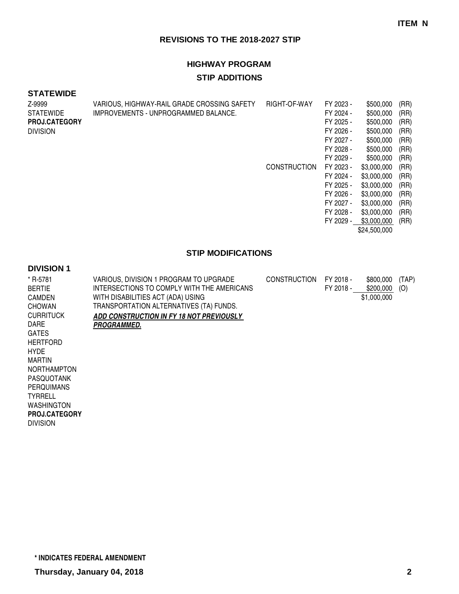# **HIGHWAY PROGRAM STIP ADDITIONS**

#### **STATEWIDE**

|                                      |                     | FY 2023 -                                                   | \$500,000    | (RR)      |
|--------------------------------------|---------------------|-------------------------------------------------------------|--------------|-----------|
| IMPROVEMENTS - UNPROGRAMMED BALANCE. |                     | FY 2024 -                                                   | \$500,000    | (RR)      |
|                                      |                     | FY 2025 -                                                   | \$500,000    | (RR)      |
|                                      |                     | FY 2026 -                                                   | \$500,000    | (RR)      |
|                                      |                     | FY 2027 -                                                   | \$500,000    | (RR)      |
|                                      |                     | FY 2028 -                                                   | \$500,000    | (RR)      |
|                                      |                     | FY 2029 -                                                   | \$500,000    | (RR)      |
|                                      | <b>CONSTRUCTION</b> | FY 2023 -                                                   | \$3,000,000  | (RR)      |
|                                      |                     | FY 2024 -                                                   | \$3,000,000  | (RR)      |
|                                      |                     | FY 2025 -                                                   | \$3,000,000  | (RR)      |
|                                      |                     | FY 2026 -                                                   | \$3,000,000  | (RR)      |
|                                      |                     | FY 2027 -                                                   | \$3,000,000  | (RR)      |
|                                      |                     | FY 2028 -                                                   | \$3,000,000  | (RR)      |
|                                      |                     |                                                             | \$3,000,000  | (RR)      |
|                                      |                     |                                                             | \$24,500,000 |           |
|                                      |                     | VARIOUS, HIGHWAY-RAIL GRADE CROSSING SAFETY<br>RIGHT-OF-WAY |              | FY 2029 - |

### **STIP MODIFICATIONS**

| * R-5781<br><b>BERTIE</b> | VARIOUS, DIVISION 1 PROGRAM TO UPGRADE<br>INTERSECTIONS TO COMPLY WITH THE AMERICANS | <b>CONSTRUCTION</b> | FY 2018 -<br>FY 2018 - | \$800,000<br>\$200,000 | (TAP)<br>(O) |
|---------------------------|--------------------------------------------------------------------------------------|---------------------|------------------------|------------------------|--------------|
| <b>CAMDEN</b>             | WITH DISABILITIES ACT (ADA) USING                                                    |                     |                        | \$1,000,000            |              |
| <b>CHOWAN</b>             | TRANSPORTATION ALTERNATIVES (TA) FUNDS.                                              |                     |                        |                        |              |
| <b>CURRITUCK</b>          | ADD CONSTRUCTION IN FY 18 NOT PREVIOUSLY                                             |                     |                        |                        |              |
| DARE                      | <i><b>PROGRAMMED.</b></i>                                                            |                     |                        |                        |              |
| <b>GATES</b>              |                                                                                      |                     |                        |                        |              |
| <b>HERTFORD</b>           |                                                                                      |                     |                        |                        |              |
| <b>HYDE</b>               |                                                                                      |                     |                        |                        |              |
| <b>MARTIN</b>             |                                                                                      |                     |                        |                        |              |
| <b>NORTHAMPTON</b>        |                                                                                      |                     |                        |                        |              |
| PASQUOTANK                |                                                                                      |                     |                        |                        |              |
| <b>PERQUIMANS</b>         |                                                                                      |                     |                        |                        |              |
| <b>TYRRELL</b>            |                                                                                      |                     |                        |                        |              |
| <b>WASHINGTON</b>         |                                                                                      |                     |                        |                        |              |
| <b>PROJ.CATEGORY</b>      |                                                                                      |                     |                        |                        |              |
| <b>DIVISION</b>           |                                                                                      |                     |                        |                        |              |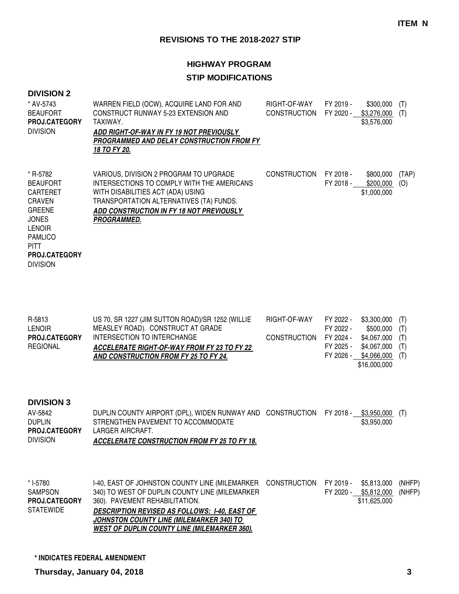# **HIGHWAY PROGRAM**

# **STIP MODIFICATIONS**

| <b>DIVISION 2</b>                                                                                                                                                                             |                                                                                                                                                                                                                                               |                                     |                        |                                         |              |
|-----------------------------------------------------------------------------------------------------------------------------------------------------------------------------------------------|-----------------------------------------------------------------------------------------------------------------------------------------------------------------------------------------------------------------------------------------------|-------------------------------------|------------------------|-----------------------------------------|--------------|
| * AV-5743<br><b>BEAUFORT</b><br><b>PROJ.CATEGORY</b><br><b>DIVISION</b>                                                                                                                       | WARREN FIELD (OCW), ACQUIRE LAND FOR AND<br>CONSTRUCT RUNWAY 5-23 EXTENSION AND<br>TAXIWAY.<br>ADD RIGHT-OF-WAY IN FY 19 NOT PREVIOUSLY<br>PROGRAMMED AND DELAY CONSTRUCTION FROM FY<br>18 TO FY 20.                                          | RIGHT-OF-WAY<br><b>CONSTRUCTION</b> | FY 2019 -<br>FY 2020 - | \$300,000<br>\$3,276,000<br>\$3,576,000 | (T)<br>(T)   |
| * R-5782<br><b>BEAUFORT</b><br><b>CARTERET</b><br><b>CRAVEN</b><br><b>GREENE</b><br><b>JONES</b><br><b>LENOIR</b><br><b>PAMLICO</b><br><b>PITT</b><br><b>PROJ.CATEGORY</b><br><b>DIVISION</b> | VARIOUS, DIVISION 2 PROGRAM TO UPGRADE<br>INTERSECTIONS TO COMPLY WITH THE AMERICANS<br>WITH DISABILITIES ACT (ADA) USING<br>TRANSPORTATION ALTERNATIVES (TA) FUNDS.<br>ADD CONSTRUCTION IN FY 18 NOT PREVIOUSLY<br><i><b>PROGRAMMED.</b></i> | <b>CONSTRUCTION</b>                 | FY 2018 -<br>FY 2018 - | \$800,000<br>\$200,000<br>\$1,000,000   | (TAP)<br>(O) |

| R-5813               | US 70, SR 1227 (JIM SUTTON ROAD)/SR 1252 (WILLIE   | RIGHT-OF-WAY           | FY 2022 - | $$3,300,000$ (T) |  |
|----------------------|----------------------------------------------------|------------------------|-----------|------------------|--|
| <b>LENOIR</b>        | MEASLEY ROAD). CONSTRUCT AT GRADE                  |                        | FY 2022 - | $$500,000$ (T)   |  |
| <b>PROJ.CATEGORY</b> | INTERSECTION TO INTERCHANGE                        | CONSTRUCTION FY 2024 - |           | $$4,067,000$ (T) |  |
| REGIONAL             | <b>ACCELERATE RIGHT-OF-WAY FROM FY 23 TO FY 22</b> |                        | FY 2025 - | \$4,067,000 (T)  |  |
|                      | AND CONSTRUCTION FROM FY 25 TO FY 24.              |                        | FY 2026 - | \$4,066,000 (T)  |  |
|                      |                                                    |                        |           | \$16,000,000     |  |

#### **DIVISION 3**

| AV-5842              | DUPLIN COUNTY AIRPORT (DPL), WIDEN RUNWAY AND CONSTRUCTION FY 2018 - |  | \$3.950.000 (T) |  |
|----------------------|----------------------------------------------------------------------|--|-----------------|--|
| <b>DUPLIN</b>        | STRENGTHEN PAVEMENT TO ACCOMMODATE                                   |  | \$3,950,000     |  |
| <b>PROJ.CATEGORY</b> | LARGER AIRCRAFT.                                                     |  |                 |  |
| <b>DIVISION</b>      | ACCELERATE CONSTRUCTION FROM FY 25 TO FY 18.                         |  |                 |  |

| * I-5780             | 1-40, EAST OF JOHNSTON COUNTY LINE (MILEMARKER CONSTRUCTION FY 2019 - |           | \$5.813.000 (NHFP) |        |
|----------------------|-----------------------------------------------------------------------|-----------|--------------------|--------|
| SAMPSON              | 340) TO WEST OF DUPLIN COUNTY LINE (MILEMARKER                        | FY 2020 - | \$5,812,000        | (NHFP) |
| <b>PROJ.CATEGORY</b> | 360). PAVEMENT REHABILITATION.                                        |           | \$11,625,000       |        |
| STATEWIDE            | <b>DESCRIPTION REVISED AS FOLLOWS: 1-40. EAST OF</b>                  |           |                    |        |
|                      | <b>JOHNSTON COUNTY LINE (MILEMARKER 340) TO</b>                       |           |                    |        |
|                      | <b>WEST OF DUPLIN COUNTY LINE (MILEMARKER 360).</b>                   |           |                    |        |

**\* INDICATES FEDERAL AMENDMENT**

**Thursday, January 04, 2018 3**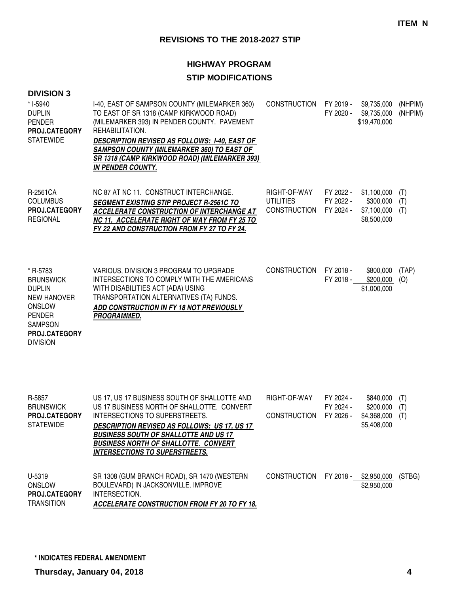# **HIGHWAY PROGRAM**

# **STIP MODIFICATIONS**

|  | <b>DIVISION 3</b> |
|--|-------------------|
|--|-------------------|

| * I-5940<br><b>DUPLIN</b><br><b>PENDER</b><br>PROJ.CATEGORY<br><b>STATEWIDE</b>                                                                             | I-40, EAST OF SAMPSON COUNTY (MILEMARKER 360)<br>TO EAST OF SR 1318 (CAMP KIRKWOOD ROAD)<br>(MILEMARKER 393) IN PENDER COUNTY. PAVEMENT<br>REHABILITATION.<br><b>DESCRIPTION REVISED AS FOLLOWS: 1-40, EAST OF</b><br><b>SAMPSON COUNTY (MILEMARKER 360) TO EAST OF</b><br>SR 1318 (CAMP KIRKWOOD ROAD) (MILEMARKER 393)<br><b>IN PENDER COUNTY.</b> | <b>CONSTRUCTION</b>                                     | FY 2019 -                           | \$9,735,000<br>FY 2020 - \$9,735,000<br>\$19,470,000   | (NHPIM)<br>(NHPIM) |
|-------------------------------------------------------------------------------------------------------------------------------------------------------------|------------------------------------------------------------------------------------------------------------------------------------------------------------------------------------------------------------------------------------------------------------------------------------------------------------------------------------------------------|---------------------------------------------------------|-------------------------------------|--------------------------------------------------------|--------------------|
| R-2561CA<br><b>COLUMBUS</b><br>PROJ.CATEGORY<br><b>REGIONAL</b>                                                                                             | NC 87 AT NC 11. CONSTRUCT INTERCHANGE.<br><b>SEGMENT EXISTING STIP PROJECT R-2561C TO</b><br>ACCELERATE CONSTRUCTION OF INTERCHANGE AT<br>NC 11. ACCELERATE RIGHT OF WAY FROM FY 25 TO<br>FY 22 AND CONSTRUCTION FROM FY 27 TO FY 24.                                                                                                                | RIGHT-OF-WAY<br><b>UTILITIES</b><br><b>CONSTRUCTION</b> | FY 2022 -<br>FY 2022 -<br>FY 2024 - | \$1,100,000<br>\$300,000<br>\$7,100,000<br>\$8,500,000 | (T)<br>(T)<br>(T)  |
| * R-5783<br><b>BRUNSWICK</b><br><b>DUPLIN</b><br><b>NEW HANOVER</b><br><b>ONSLOW</b><br><b>PENDER</b><br><b>SAMPSON</b><br>PROJ.CATEGORY<br><b>DIVISION</b> | VARIOUS, DIVISION 3 PROGRAM TO UPGRADE<br>INTERSECTIONS TO COMPLY WITH THE AMERICANS<br>WITH DISABILITIES ACT (ADA) USING<br>TRANSPORTATION ALTERNATIVES (TA) FUNDS.<br>ADD CONSTRUCTION IN FY 18 NOT PREVIOUSLY<br>PROGRAMMED.                                                                                                                      | <b>CONSTRUCTION</b>                                     | FY 2018 -<br>FY 2018 -              | \$800,000<br>\$200,000<br>\$1,000,000                  | (TAP)<br>(O)       |
| R-5857<br><b>BRUNSWICK</b><br>PROJ.CATEGORY<br><b>STATEWIDE</b>                                                                                             | US 17, US 17 BUSINESS SOUTH OF SHALLOTTE AND<br>US 17 BUSINESS NORTH OF SHALLOTTE. CONVERT<br>INTERSECTIONS TO SUPERSTREETS.<br><b>DESCRIPTION REVISED AS FOLLOWS: US 17, US 17</b><br><b>BUSINESS SOUTH OF SHALLOTTE AND US 17</b><br><b>BUSINESS NORTH OF SHALLOTTE. CONVERT</b><br><b>INTERSECTIONS TO SUPERSTREETS.</b>                          | RIGHT-OF-WAY<br><b>CONSTRUCTION</b>                     | FY 2024 -<br>FY 2024 -<br>FY 2026 - | \$840,000<br>\$200,000<br>\$4,368,000<br>\$5,408,000   | (T)<br>(T)<br>(T)  |
| U-5319<br><b>ONSLOW</b><br>PROJ.CATEGORY<br>$\overline{1}$                                                                                                  | SR 1308 (GUM BRANCH ROAD), SR 1470 (WESTERN<br>BOULEVARD) IN JACKSONVILLE. IMPROVE<br>INTERSECTION.                                                                                                                                                                                                                                                  | <b>CONSTRUCTION</b>                                     |                                     | FY 2018 - \$2,950,000 (STBG)<br>\$2,950,000            |                    |

**ACCELERATE CONSTRUCTION FROM FY 20 TO FY 18.** TRANSITION

**\* INDICATES FEDERAL AMENDMENT**

**Thursday, January 04, 2018 4**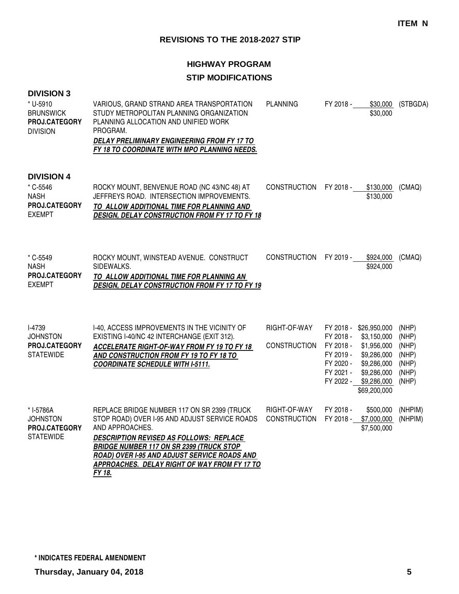# **HIGHWAY PROGRAM**

# **STIP MODIFICATIONS**

|  | <b>DIVISION 3</b> |  |  |
|--|-------------------|--|--|
|--|-------------------|--|--|

| * U-5910<br><b>BRUNSWICK</b><br>PROJ.CATEGORY<br><b>DIVISION</b>               | VARIOUS, GRAND STRAND AREA TRANSPORTATION<br>STUDY METROPOLITAN PLANNING ORGANIZATION<br>PLANNING ALLOCATION AND UNIFIED WORK<br>PROGRAM.<br>DELAY PRELIMINARY ENGINEERING FROM FY 17 TO<br>FY 18 TO COORDINATE WITH MPO PLANNING NEEDS.                      | <b>PLANNING</b>                     | FY 2018 -                                                                  | \$30,000<br>\$30,000                                                                                                             | (STBGDA)                                                    |
|--------------------------------------------------------------------------------|---------------------------------------------------------------------------------------------------------------------------------------------------------------------------------------------------------------------------------------------------------------|-------------------------------------|----------------------------------------------------------------------------|----------------------------------------------------------------------------------------------------------------------------------|-------------------------------------------------------------|
| <b>DIVISION 4</b><br>* C-5546<br><b>NASH</b><br>PROJ.CATEGORY<br><b>EXEMPT</b> | ROCKY MOUNT, BENVENUE ROAD (NC 43/NC 48) AT<br>JEFFREYS ROAD. INTERSECTION IMPROVEMENTS.<br>TO ALLOW ADDITIONAL TIME FOR PLANNING AND<br>DESIGN, DELAY CONSTRUCTION FROM FY 17 TO FY 18                                                                       | <b>CONSTRUCTION</b>                 | FY 2018 -                                                                  | \$130,000<br>\$130,000                                                                                                           | (CMAQ)                                                      |
| * C-5549<br><b>NASH</b><br>PROJ.CATEGORY<br><b>EXEMPT</b>                      | ROCKY MOUNT, WINSTEAD AVENUE. CONSTRUCT<br>SIDEWALKS.<br>TO ALLOW ADDITIONAL TIME FOR PLANNING AN<br>DESIGN, DELAY CONSTRUCTION FROM FY 17 TO FY 19                                                                                                           | <b>CONSTRUCTION</b>                 | FY 2019 -                                                                  | \$924,000<br>\$924,000                                                                                                           | (CMAQ)                                                      |
| <b>I-4739</b><br><b>JOHNSTON</b><br>PROJ.CATEGORY<br><b>STATEWIDE</b>          | I-40, ACCESS IMPROVEMENTS IN THE VICINITY OF<br>EXISTING I-40/NC 42 INTERCHANGE (EXIT 312).<br>ACCELERATE RIGHT-OF-WAY FROM FY 19 TO FY 18<br>AND CONSTRUCTION FROM FY 19 TO FY 18 TO<br><b>COORDINATE SCHEDULE WITH I-5111.</b>                              | RIGHT-OF-WAY<br><b>CONSTRUCTION</b> | FY 2018 -<br>FY 2018 -<br>FY 2018 -<br>FY 2019 -<br>FY 2020 -<br>FY 2021 - | \$26,950,000<br>\$3,150,000<br>\$1,956,000<br>\$9,286,000<br>\$9,286,000<br>\$9,286,000<br>FY 2022 - \$9,286,000<br>\$69,200,000 | (NHP)<br>(NHP)<br>(NHP)<br>(NHP)<br>(NHP)<br>(NHP)<br>(NHP) |
| * I-5786A<br><b>JOHNSTON</b><br>PROJ.CATEGORY<br><b>STATEWIDE</b>              | REPLACE BRIDGE NUMBER 117 ON SR 2399 (TRUCK<br>STOP ROAD) OVER I-95 AND ADJUST SERVICE ROADS<br>AND APPROACHES.<br>DESCRIPTION REVISED AS FOLLOWS: REPLACE<br><b>BRIDGE NUMBER 117 ON SR 2399 (TRUCK STOP</b><br>ROAD) OVER I-95 AND ADJUST SERVICE ROADS AND | RIGHT-OF-WAY<br><b>CONSTRUCTION</b> | FY 2018 -<br>FY 2018 -                                                     | \$500,000<br>\$7,000,000<br>\$7,500,000                                                                                          | (NHPIM)<br>(NHPIM)                                          |

**FY 18.**

**APPROACHES. DELAY RIGHT OF WAY FROM FY 17 TO**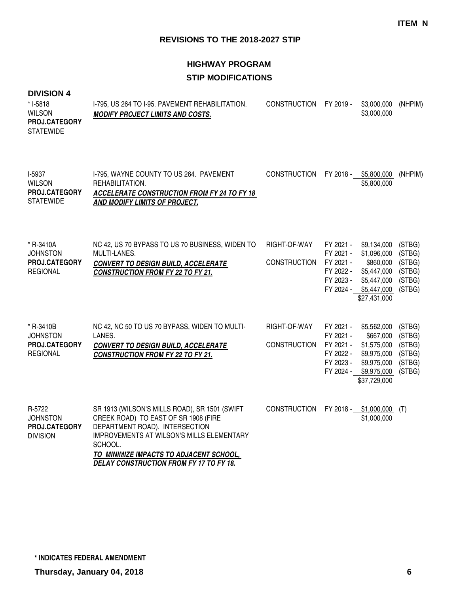# **HIGHWAY PROGRAM STIP MODIFICATIONS**

| * I-5818<br><b>WILSON</b><br>PROJ.CATEGORY<br><b>STATEWIDE</b>   | I-795, US 264 TO I-95. PAVEMENT REHABILITATION.<br><b>MODIFY PROJECT LIMITS AND COSTS.</b>                                                                                                                                                                                   | <b>CONSTRUCTION</b>                 |                                                               | FY 2019 - \$3,000,000<br>\$3,000,000                                                                           | (NHPIM)                                                  |
|------------------------------------------------------------------|------------------------------------------------------------------------------------------------------------------------------------------------------------------------------------------------------------------------------------------------------------------------------|-------------------------------------|---------------------------------------------------------------|----------------------------------------------------------------------------------------------------------------|----------------------------------------------------------|
| I-5937<br><b>WILSON</b><br>PROJ.CATEGORY<br><b>STATEWIDE</b>     | I-795, WAYNE COUNTY TO US 264. PAVEMENT<br>REHABILITATION.<br><b>ACCELERATE CONSTRUCTION FROM FY 24 TO FY 18</b><br>AND MODIFY LIMITS OF PROJECT.                                                                                                                            | <b>CONSTRUCTION</b>                 |                                                               | FY 2018 - \$5,800,000<br>\$5,800,000                                                                           | (NHPIM)                                                  |
| * R-3410A<br><b>JOHNSTON</b><br>PROJ.CATEGORY<br><b>REGIONAL</b> | NC 42, US 70 BYPASS TO US 70 BUSINESS, WIDEN TO<br>MULTI-LANES.<br><b>CONVERT TO DESIGN BUILD, ACCELERATE</b><br><b>CONSTRUCTION FROM FY 22 TO FY 21.</b>                                                                                                                    | RIGHT-OF-WAY<br><b>CONSTRUCTION</b> | FY 2021 -<br>FY 2021 -<br>FY 2021 -<br>FY 2022 -<br>FY 2023 - | \$9,134,000<br>\$1,096,000<br>\$860,000<br>\$5,447,000<br>\$5,447,000<br>FY 2024 - \$5,447,000<br>\$27,431,000 | (STBG)<br>(STBG)<br>(STBG)<br>(STBG)<br>(STBG)<br>(STBG) |
| * R-3410B<br><b>JOHNSTON</b><br>PROJ.CATEGORY<br><b>REGIONAL</b> | NC 42, NC 50 TO US 70 BYPASS, WIDEN TO MULTI-<br>LANES.<br><b>CONVERT TO DESIGN BUILD, ACCELERATE</b><br><b>CONSTRUCTION FROM FY 22 TO FY 21.</b>                                                                                                                            | RIGHT-OF-WAY<br><b>CONSTRUCTION</b> | FY 2021 -<br>FY 2021 -<br>FY 2021 -<br>FY 2022 -<br>FY 2023 - | \$5,562,000<br>\$667,000<br>\$1,575,000<br>\$9,975,000<br>\$9,975,000<br>FY 2024 - \$9,975,000<br>\$37,729,000 | (STBG)<br>(STBG)<br>(STBG)<br>(STBG)<br>(STBG)<br>(STBG) |
| R-5722<br><b>JOHNSTON</b><br>PROJ.CATEGORY<br><b>DIVISION</b>    | SR 1913 (WILSON'S MILLS ROAD), SR 1501 (SWIFT<br>CREEK ROAD) TO EAST OF SR 1908 (FIRE<br>DEPARTMENT ROAD). INTERSECTION<br><b>IMPROVEMENTS AT WILSON'S MILLS ELEMENTARY</b><br>SCHOOL.<br>TO MINIMIZE IMPACTS TO ADJACENT SCHOOL,<br>DELAY CONSTRUCTION FROM FY 17 TO FY 18. | <b>CONSTRUCTION</b>                 |                                                               | FY 2018 - \$1,000,000<br>\$1,000,000                                                                           | (T)                                                      |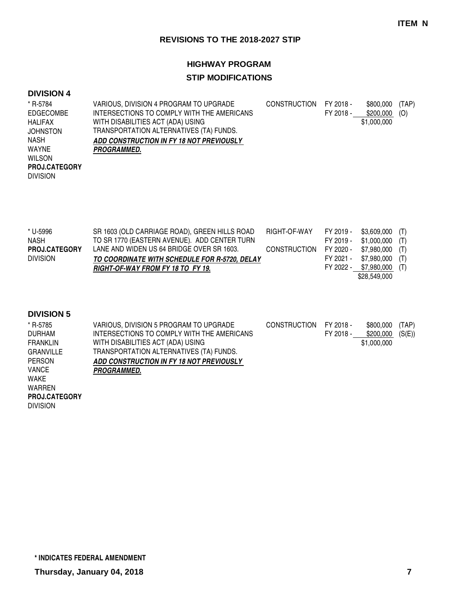## **HIGHWAY PROGRAM**

# **STIP MODIFICATIONS**

#### **DIVISION 4**

| * R-5784             | VARIOUS, DIVISION 4 PROGRAM TO UPGRADE     | <b>CONSTRUCTION</b> | FY 2018 - | \$800,000   | (TAP) |
|----------------------|--------------------------------------------|---------------------|-----------|-------------|-------|
| EDGECOMBE            | INTERSECTIONS TO COMPLY WITH THE AMERICANS |                     | FY 2018 - | \$200,000   | (O)   |
| HALIFAX              | WITH DISABILITIES ACT (ADA) USING          |                     |           | \$1,000,000 |       |
| <b>JOHNSTON</b>      | TRANSPORTATION ALTERNATIVES (TA) FUNDS.    |                     |           |             |       |
| <b>NASH</b>          | ADD CONSTRUCTION IN FY 18 NOT PREVIOUSLY   |                     |           |             |       |
| WAYNE                | <b>PROGRAMMED.</b>                         |                     |           |             |       |
| <b>WILSON</b>        |                                            |                     |           |             |       |
| <b>PROJ.CATEGORY</b> |                                            |                     |           |             |       |
| <b>DIVISION</b>      |                                            |                     |           |             |       |
|                      |                                            |                     |           |             |       |

| * U-5996             | SR 1603 (OLD CARRIAGE ROAD), GREEN HILLS ROAD | RIGHT-OF-WAY FY 2019 - |           | $$3,609,000$ (T)          |  |
|----------------------|-----------------------------------------------|------------------------|-----------|---------------------------|--|
| <b>NASH</b>          | TO SR 1770 (EASTERN AVENUE). ADD CENTER TURN  |                        | FY 2019 - | $$1,000,000$ (T)          |  |
| <b>PROJ.CATEGORY</b> | LANE AND WIDEN US 64 BRIDGE OVER SR 1603.     | CONSTRUCTION FY 2020 - |           | \$7,980,000 (T)           |  |
| <b>DIVISION</b>      | TO COORDINATE WITH SCHEDULE FOR R-5720, DELAY |                        | FY 2021 - | $$7,980,000$ (T)          |  |
|                      | RIGHT-OF-WAY FROM FY 18 TO FY 19.             |                        |           | FY 2022 - \$7,980,000 (T) |  |
|                      |                                               |                        |           | \$28.549.000              |  |

### **DIVISION 5**

| * R-5785             | VARIOUS, DIVISION 5 PROGRAM TO UPGRADE     | <b>CONSTRUCTION</b> | FY 2018 - | \$800,000   | (TAP)  |
|----------------------|--------------------------------------------|---------------------|-----------|-------------|--------|
| <b>DURHAM</b>        | INTERSECTIONS TO COMPLY WITH THE AMERICANS |                     | FY 2018 - | \$200,000   | (S(E)) |
| <b>FRANKLIN</b>      | WITH DISABILITIES ACT (ADA) USING          |                     |           | \$1,000,000 |        |
| <b>GRANVILLE</b>     | TRANSPORTATION ALTERNATIVES (TA) FUNDS.    |                     |           |             |        |
| <b>PERSON</b>        | ADD CONSTRUCTION IN FY 18 NOT PREVIOUSLY   |                     |           |             |        |
| VANCE                | <i><b>PROGRAMMED.</b></i>                  |                     |           |             |        |
| WAKE                 |                                            |                     |           |             |        |
| <b>WARREN</b>        |                                            |                     |           |             |        |
| <b>PROJ.CATEGORY</b> |                                            |                     |           |             |        |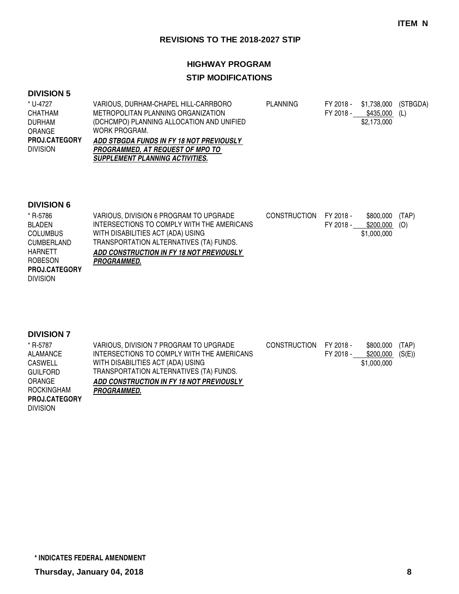#### **HIGHWAY PROGRAM**

## **STIP MODIFICATIONS**

#### **DIVISION 5**

| * U-4727             | VARIOUS. DURHAM-CHAPEL HILL-CARRBORO      | PLANNING | FY 2018 - | \$1,738,000 (STBGDA) |  |
|----------------------|-------------------------------------------|----------|-----------|----------------------|--|
| <b>CHATHAM</b>       | METROPOLITAN PLANNING ORGANIZATION        |          | FY 2018 - | \$435,000 (L)        |  |
| DURHAM               | (DCHCMPO) PLANNING ALLOCATION AND UNIFIED |          |           | \$2.173.000          |  |
| <b>ORANGE</b>        | WORK PROGRAM.                             |          |           |                      |  |
| <b>PROJ.CATEGORY</b> | ADD STBGDA FUNDS IN FY 18 NOT PREVIOUSLY  |          |           |                      |  |
| <b>DIVISION</b>      | <b>PROGRAMMED. AT REQUEST OF MPO TO</b>   |          |           |                      |  |
|                      | <b>SUPPLEMENT PLANNING ACTIVITIES.</b>    |          |           |                      |  |

#### **DIVISION 6**

| VARIOUS, DIVISION 6 PROGRAM TO UPGRADE     | <b>CONSTRUCTION</b> | FY 2018 - | \$800,000   | (TAP) |
|--------------------------------------------|---------------------|-----------|-------------|-------|
| INTERSECTIONS TO COMPLY WITH THE AMERICANS |                     | FY 2018 - | \$200,000   | (O)   |
| WITH DISABILITIES ACT (ADA) USING          |                     |           | \$1,000,000 |       |
| TRANSPORTATION ALTERNATIVES (TA) FUNDS.    |                     |           |             |       |
| ADD CONSTRUCTION IN FY 18 NOT PREVIOUSLY   |                     |           |             |       |
| <b>PROGRAMMED.</b>                         |                     |           |             |       |
|                                            |                     |           |             |       |
|                                            |                     |           |             |       |
|                                            |                     |           |             |       |

### **DIVISION 7**

| * R-5787             | VARIOUS, DIVISION 7 PROGRAM TO UPGRADE     | CONSTRUCTION FY 2018 - |           | \$800.000   | (TAP)  |
|----------------------|--------------------------------------------|------------------------|-----------|-------------|--------|
| ALAMANCE             | INTERSECTIONS TO COMPLY WITH THE AMERICANS |                        | FY 2018 - | \$200,000   | (S(E)) |
| <b>CASWELL</b>       | WITH DISABILITIES ACT (ADA) USING          |                        |           | \$1,000,000 |        |
| <b>GUILFORD</b>      | TRANSPORTATION ALTERNATIVES (TA) FUNDS.    |                        |           |             |        |
| ORANGE               | ADD CONSTRUCTION IN FY 18 NOT PREVIOUSLY   |                        |           |             |        |
| ROCKINGHAM           | <b>PROGRAMMED.</b>                         |                        |           |             |        |
| <b>PROJ.CATEGORY</b> |                                            |                        |           |             |        |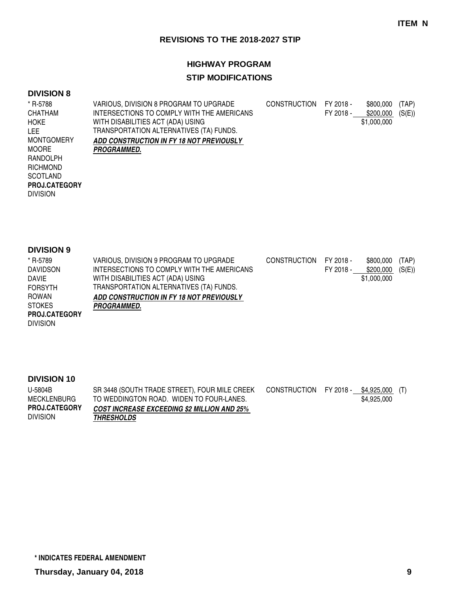# **HIGHWAY PROGRAM**

# **STIP MODIFICATIONS**

### **DIVISION 8**

| * R-5788             | VARIOUS, DIVISION 8 PROGRAM TO UPGRADE     | <b>CONSTRUCTION</b> | FY 2018 - | \$800,000   | (TAP)  |
|----------------------|--------------------------------------------|---------------------|-----------|-------------|--------|
| <b>CHATHAM</b>       | INTERSECTIONS TO COMPLY WITH THE AMERICANS |                     | FY 2018 - | \$200,000   | (S(E)) |
| <b>HOKE</b>          | WITH DISABILITIES ACT (ADA) USING          |                     |           | \$1,000,000 |        |
| LEE.                 | TRANSPORTATION ALTERNATIVES (TA) FUNDS.    |                     |           |             |        |
| <b>MONTGOMERY</b>    | ADD CONSTRUCTION IN FY 18 NOT PREVIOUSLY   |                     |           |             |        |
| <b>MOORE</b>         | <i><b>PROGRAMMED.</b></i>                  |                     |           |             |        |
| RANDOLPH             |                                            |                     |           |             |        |
| <b>RICHMOND</b>      |                                            |                     |           |             |        |
| <b>SCOTLAND</b>      |                                            |                     |           |             |        |
| <b>PROJ.CATEGORY</b> |                                            |                     |           |             |        |
| <b>DIVISION</b>      |                                            |                     |           |             |        |
|                      |                                            |                     |           |             |        |
|                      |                                            |                     |           |             |        |

#### **DIVISION 9**

| * R-5789             | VARIOUS, DIVISION 9 PROGRAM TO UPGRADE     | CONSTRUCTION | FY 2018 - | \$800,000   | (TAP)  |
|----------------------|--------------------------------------------|--------------|-----------|-------------|--------|
| <b>DAVIDSON</b>      | INTERSECTIONS TO COMPLY WITH THE AMERICANS |              | FY 2018 - | \$200,000   | (S(E)) |
| <b>DAVIE</b>         | WITH DISABILITIES ACT (ADA) USING          |              |           | \$1,000,000 |        |
| <b>FORSYTH</b>       | TRANSPORTATION ALTERNATIVES (TA) FUNDS.    |              |           |             |        |
| <b>ROWAN</b>         | ADD CONSTRUCTION IN FY 18 NOT PREVIOUSLY   |              |           |             |        |
| <b>STOKES</b>        | <b>PROGRAMMED.</b>                         |              |           |             |        |
| <b>PROJ.CATEGORY</b> |                                            |              |           |             |        |
| <b>DIVISION</b>      |                                            |              |           |             |        |

| U-5804B              | SR 3448 (SOUTH TRADE STREET), FOUR MILE CREEK      | CONSTRUCTION FY 2018 - \$4,925,000 (T) |             |  |
|----------------------|----------------------------------------------------|----------------------------------------|-------------|--|
| MECKLENBURG          | TO WEDDINGTON ROAD. WIDEN TO FOUR-LANES.           |                                        | \$4,925,000 |  |
| <b>PROJ.CATEGORY</b> | <b>COST INCREASE EXCEEDING \$2 MILLION AND 25%</b> |                                        |             |  |
| <b>DIVISION</b>      | <b>THRESHOLDS</b>                                  |                                        |             |  |